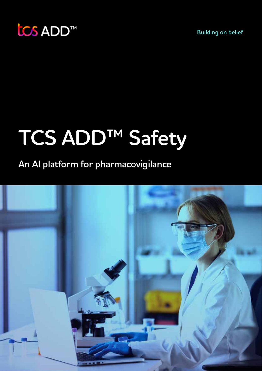



# **TCS ADD™ Safety**

### **An AI platform for pharmacovigilance**

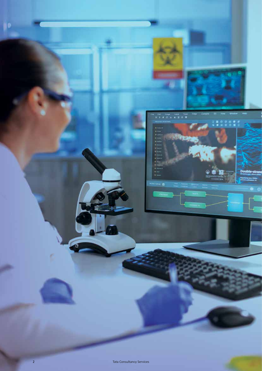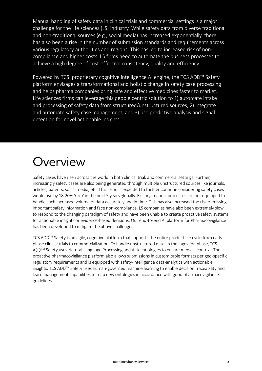Manual handling of safety data in clinical trials and commercial settings is a major challenge for the life sciences (LS) industry. While safety data from diverse traditional and non-traditional sources (e.g., social media) has increased exponentially, there has also been a rise in the number of submission standards and requirements across various regulatory authorities and regions. This has led to increased risk of noncompliance and higher costs. LS firms need to automate the business processes to achieve a high degree of cost-effective consistency, quality and efficiency.

Powered by TCS' proprietary cognitive intelligence AI engine, the TCS ADD™ Safety platform envisages a transformational and holistic change in safety case processing and helps pharma companies bring safe and effective medicines faster to market. Life sciences firms can leverage this people centric solution to 1) automate intake and processing of safety data from structured/unstructured sources, 2) integrate and automate safety case management, and 3) use predictive analysis and signal detection for novel actionable insights.

### **Overview**

Safety cases have risen across the world in both clinical trial, and commercial settings. Further, increasingly safety cases are also being generated through multiple unstructured sources like journals, articles, patents, social media, etc. This trend is expected to further continue considering safety cases would rise by 18-20% Y-o-Y in the next 5 years globally. Existing manual processes are not equipped to handle such increased volume of data accurately and in time. This has also increased the risk of missing important safety information and face non-compliance. LS companies have also been extremely slow to respond to the changing paradigm of safety and have been unable to create proactive safety systems for actionable insights or evidence-based decisions. Our end-to-end AI platform for Pharmacovigilance has been developed to mitigate the above challenges.

TCS ADD™ Safety is an agile, cognitive platform that supports the entire product life cycle from early phase clinical trials to commercialization. To handle unstructured data, in the ingestion phase, TCS ADDTM Safety uses Natural Language Processing and AI technologies to ensure medical context. The proactive pharmacovigilance platform also allows submissions in customizable formats per geo-specific regulatory requirements and is equipped with safety-intelligence data-analytics with actionable insights. TCS ADDTM Safety uses human-governed machine learning to enable decision traceability and learn management capabilities to map new ontologies in accordance with good pharmacovigilance guidelines.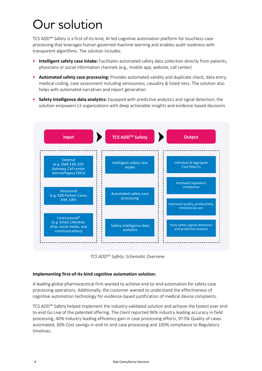## Our solution

TCS ADD™ Safety is a first-of-its-kind, AI-led cognitive automation platform for touchless case processing that leverages human governed machine learning and enables audit readiness with transparent algorithms. The solution includes:

- **• Intelligent safety case intake:** Facilitates automated safety data collection directly from patients, physicians or social information channels (e.g., mobile app, website, call center)
- **•** Automated safety case processing: Provides automated validity and duplicate check, data entry, medical coding, case assessment including seriousness, causality & listed ness. The solution also helps with automated narratives and report generation
- **• Safety Intelligence data analytics:** Equipped with predictive analytics and signal detection, the solution empowers LS organizations with deep actionable insights and evidence-based decisions



*TCS ADDTM Safety: Schematic Overview*

#### **Implementing first-of-its-kind cognitive automation solution:**

A leading global pharmaceutical firm wanted to achieve end-to-end automation for safety case processing operations. Additionally, the customer wanted to understand the effectiveness of cognitive automation technology for evidence-based justification of medical device complaints.

TCS ADD™ Safety helped implement the industry-validated solution and achieve the fastest ever endto-end Go Live of the patented offering. The client reported 96% industry leading accuracy in field processing, 40% Industry leading efficiency gain in case processing efforts, 97.5% Quality of cases automated, 30% Cost savings in end-to-end case processing and 100% compliance to Regulatory timelines.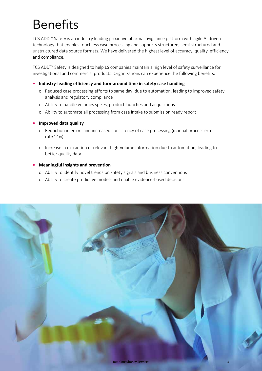## Benefits

TCS ADD™ Safety is an industry leading proactive pharmacovigilance platform with agile AI driven technology that enables touchless case processing and supports structured, semi-structured and unstructured data source formats. We have delivered the highest level of accuracy, quality, efficiency and compliance.

TCS ADD™ Safety is designed to help LS companies maintain a high level of safety surveillance for investigational and commercial products. Organizations can experience the following benefits:

#### **• Industry-leading efficiency and turn-around time in safety case handling**

- o Reduced case processing efforts to same day due to automation, leading to improved safety analysis and regulatory compliance
- o Ability to handle volumes spikes, product launches and acquisitions
- o Ability to automate all processing from case intake to submission ready report

#### **• Improved data quality**

- o Reduction in errors and increased consistency of case processing (manual process error rate ~4%)
- o Increase in extraction of relevant high-volume information due to automation, leading to better quality data

#### **• Meaningful insights and prevention**

- o Ability to identify novel trends on safety signals and business conventions
- o Ability to create predictive models and enable evidence-based decisions

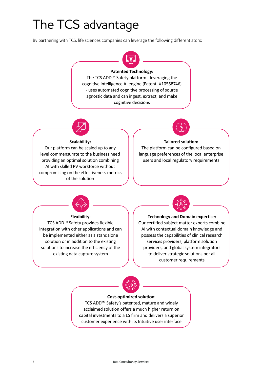# The TCS advantage

By partnering with TCS, life sciences companies can leverage the following differentiators:



#### **Patented Technology:**

The TCS ADD<sup>™</sup> Safety platform - leveraging the cognitive intelligence AI engine (Patent -#10558746) - uses automated cognitive processing of source agnostic data and can ingest, extract, and make cognitive decisions



#### **Scalability:**

Our platform can be scaled up to any level commensurate to the business need providing an optimal solution combining AI with skilled PV workforce without compromising on the effectiveness metrics of the solution



#### **Tailored solution:**

The platform can be configured based on language preferences of the local enterprise users and local regulatory requirements



#### **Flexibility:**

TCS ADD<sup>™</sup> Safety provides flexible integration with other applications and can be implemented either as a standalone solution or in addition to the existing solutions to increase the efficiency of the existing data capture system



#### **Technology and Domain expertise:**

Our certified subject matter experts combine AI with contextual domain knowledge and possess the capabilities of clinical research services providers, platform solution providers, and global system integrators to deliver strategic solutions per all customer requirements



#### **Cost-optimized solution:**

TCS ADD<sup>™</sup> Safety's patented, mature and widely acclaimed solution offers a much higher return on capital investments to a LS firm and delivers a superior customer experience with its Intuitive user interface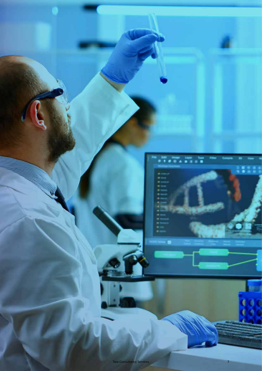